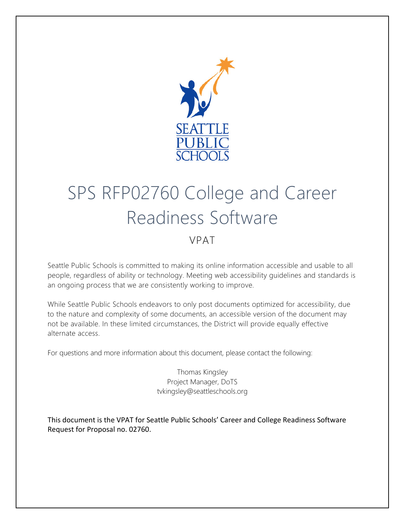

# SPS RFP02760 College and Career Readiness Software

#### VPAT

Seattle Public Schools is committed to making its online information accessible and usable to all people, regardless of ability or technology. Meeting web accessibility guidelines and standards is an ongoing process that we are consistently working to improve.

While Seattle Public Schools endeavors to only post documents optimized for accessibility, due to the nature and complexity of some documents, an accessible version of the document may not be available. In these limited circumstances, the District will provide equally effective alternate access.

For questions and more information about this document, please contact the following:

Thomas Kingsley Project Manager, DoTS tvkingsley@seattleschools.org

This document is the VPAT for Seattle Public Schools' Career and College Readiness Software Request for Proposal no. 02760.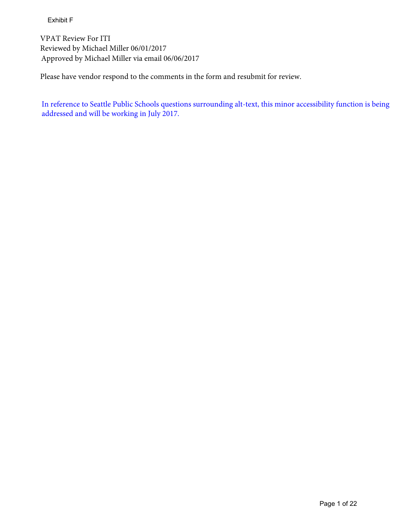Exhibit F

VPAT Review For ITI Reviewed by Michael Miller 06/01/2017 Approved by Michael Miller via email 06/06/2017

Please have vendor respond to the comments in the form and resubmit for review.

In reference to Seattle Public Schools questions surrounding alt-text, this minor accessibility function is being addressed and will be working in July 2017.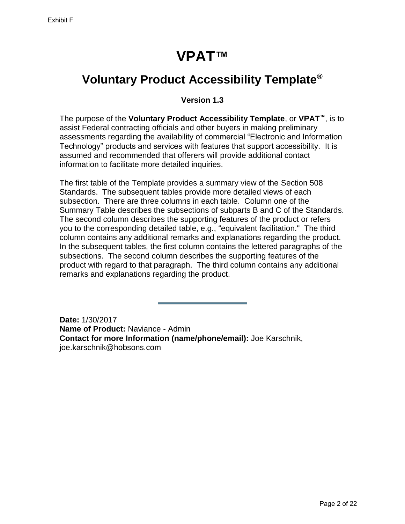# **VPAT™**

#### <span id="page-2-0"></span>**Voluntary Product Accessibility Template®**

#### **Version 1.3**

The purpose of the **Voluntary Product Accessibility Template**, or **VPAT™**, is to assist Federal contracting officials and other buyers in making preliminary assessments regarding the availability of commercial "Electronic and Information Technology" products and services with features that support accessibility. It is assumed and recommended that offerers will provide additional contact information to facilitate more detailed inquiries.

The first table of the Template provides a summary view of the Section 508 Standards. The subsequent tables provide more detailed views of each subsection. There are three columns in each table. Column one of the Summary Table describes the subsections of subparts B and C of the Standards. The second column describes the supporting features of the product or refers you to the corresponding detailed table, e.g., "equivalent facilitation." The third column contains any additional remarks and explanations regarding the product. In the subsequent tables, the first column contains the lettered paragraphs of the subsections. The second column describes the supporting features of the product with regard to that paragraph. The third column contains any additional remarks and explanations regarding the product.

**Date:** 1/30/2017 **Name of Product:** Naviance - Admin **Contact for more Information (name/phone/email):** Joe Karschnik, joe.karschnik@hobsons.com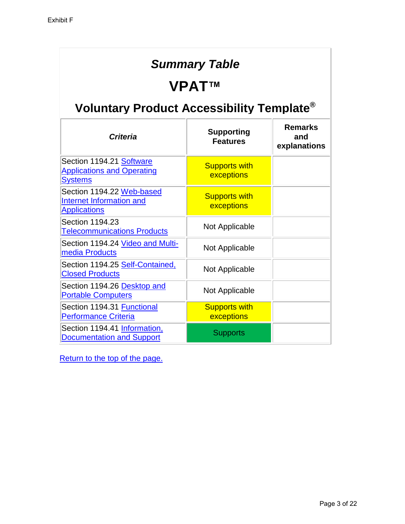#### *Summary Table*

#### **VPAT™**

# **Voluntary Product Accessibility Template®**

| <b>Criteria</b>                                                                 | <b>Supporting</b><br><b>Features</b> | <b>Remarks</b><br>and<br>explanations |
|---------------------------------------------------------------------------------|--------------------------------------|---------------------------------------|
| Section 1194.21 Software<br><b>Applications and Operating</b><br><b>Systems</b> | <b>Supports with</b><br>exceptions   |                                       |
| Section 1194.22 Web-based<br>Internet Information and<br><b>Applications</b>    | <b>Supports with</b><br>exceptions   |                                       |
| Section 1194.23<br><b>Telecommunications Products</b>                           | Not Applicable                       |                                       |
| Section 1194.24 Video and Multi-<br>media Products                              | Not Applicable                       |                                       |
| Section 1194.25 Self-Contained,<br><b>Closed Products</b>                       | Not Applicable                       |                                       |
| Section 1194.26 Desktop and<br><b>Portable Computers</b>                        | Not Applicable                       |                                       |
| Section 1194.31 Functional<br><b>Performance Criteria</b>                       | <b>Supports with</b><br>exceptions   |                                       |
| Section 1194.41 Information,<br><b>Documentation and Support</b>                | <b>Supports</b>                      |                                       |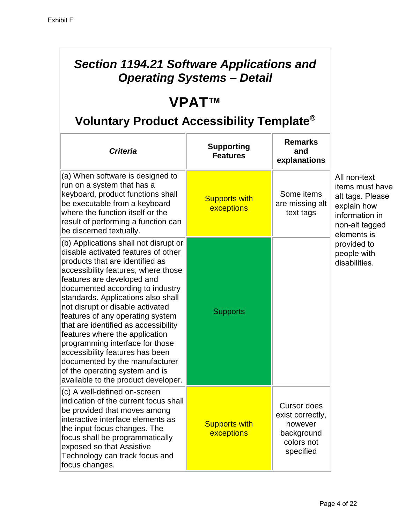#### *Section 1194.21 Software Applications and Operating Systems – Detail*

# **VPAT™**

| <b>Criteria</b>                                                                                                                                                                                                                                                                                                                                                                                                                                                                                                                                                                                   | <b>Supporting</b><br><b>Features</b> | <b>Remarks</b><br>and<br>explanations                                                      |                                                                                                                       |
|---------------------------------------------------------------------------------------------------------------------------------------------------------------------------------------------------------------------------------------------------------------------------------------------------------------------------------------------------------------------------------------------------------------------------------------------------------------------------------------------------------------------------------------------------------------------------------------------------|--------------------------------------|--------------------------------------------------------------------------------------------|-----------------------------------------------------------------------------------------------------------------------|
| (a) When software is designed to<br>run on a system that has a<br>keyboard, product functions shall<br>be executable from a keyboard<br>where the function itself or the<br>result of performing a function can<br>be discerned textually.                                                                                                                                                                                                                                                                                                                                                        | <b>Supports with</b><br>exceptions   | Some items<br>are missing alt<br>text tags                                                 | All non-text<br>items must have<br>alt tags. Please<br>explain how<br>information in<br>non-alt tagged<br>elements is |
| (b) Applications shall not disrupt or<br>disable activated features of other<br>products that are identified as<br>accessibility features, where those<br>features are developed and<br>documented according to industry<br>standards. Applications also shall<br>not disrupt or disable activated<br>features of any operating system<br>that are identified as accessibility<br>features where the application<br>programming interface for those<br>accessibility features has been<br>documented by the manufacturer<br>of the operating system and is<br>available to the product developer. | <b>Supports</b>                      |                                                                                            | provided to<br>people with<br>disabilities.                                                                           |
| (c) A well-defined on-screen<br>indication of the current focus shall<br>be provided that moves among<br>interactive interface elements as<br>the input focus changes. The<br>focus shall be programmatically<br>exposed so that Assistive<br>Technology can track focus and<br>focus changes.                                                                                                                                                                                                                                                                                                    | <b>Supports with</b><br>exceptions   | <b>Cursor does</b><br>exist correctly,<br>however<br>background<br>colors not<br>specified |                                                                                                                       |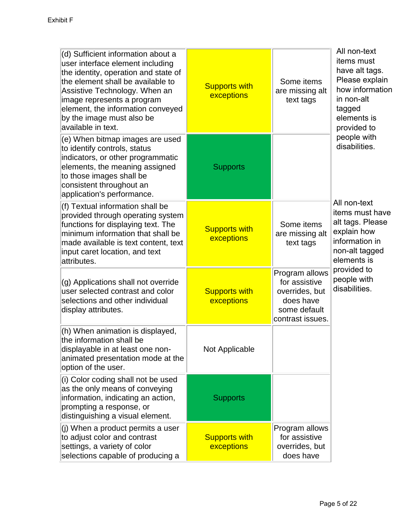| (d) Sufficient information about a<br>user interface element including<br>the identity, operation and state of<br>the element shall be available to<br>Assistive Technology. When an<br>image represents a program<br>element, the information conveyed<br>by the image must also be<br>available in text. | <b>Supports with</b><br>exceptions | Some items<br>are missing alt<br>text tags                                                         | All non-text<br>items must<br>have alt tags.<br>Please explain<br>how information<br>in non-alt<br>tagged<br>elements is<br>provided to |
|------------------------------------------------------------------------------------------------------------------------------------------------------------------------------------------------------------------------------------------------------------------------------------------------------------|------------------------------------|----------------------------------------------------------------------------------------------------|-----------------------------------------------------------------------------------------------------------------------------------------|
| (e) When bitmap images are used<br>to identify controls, status<br>indicators, or other programmatic<br>elements, the meaning assigned<br>to those images shall be<br>consistent throughout an<br>application's performance.                                                                               | <b>Supports</b>                    |                                                                                                    | people with<br>disabilities.                                                                                                            |
| (f) Textual information shall be<br>provided through operating system<br>functions for displaying text. The<br>minimum information that shall be<br>made available is text content, text<br>input caret location, and text<br>attributes.                                                                  | <b>Supports with</b><br>exceptions | Some items<br>are missing alt<br>text tags                                                         | All non-text<br>items must have<br>alt tags. Please<br>explain how<br>information in<br>non-alt tagged<br>elements is                   |
| (g) Applications shall not override<br>user selected contrast and color<br>selections and other individual<br>display attributes.                                                                                                                                                                          | <b>Supports with</b><br>exceptions | Program allows<br>for assistive<br>overrides, but<br>does have<br>some default<br>contrast issues. | provided to<br>people with<br>disabilities.                                                                                             |
| (h) When animation is displayed,<br>the information shall be<br>displayable in at least one non-<br>animated presentation mode at the<br>option of the user.                                                                                                                                               | Not Applicable                     |                                                                                                    |                                                                                                                                         |
| (i) Color coding shall not be used<br>as the only means of conveying<br>information, indicating an action,<br>prompting a response, or<br>distinguishing a visual element.                                                                                                                                 | <b>Supports</b>                    |                                                                                                    |                                                                                                                                         |
| (j) When a product permits a user<br>to adjust color and contrast<br>settings, a variety of color<br>selections capable of producing a                                                                                                                                                                     | <b>Supports with</b><br>exceptions | Program allows<br>for assistive<br>overrides, but<br>does have                                     |                                                                                                                                         |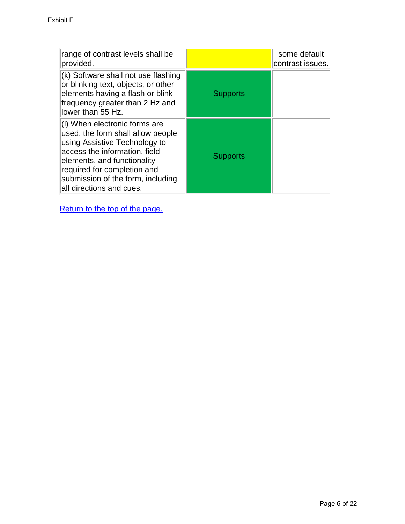| range of contrast levels shall be<br>provided.                                                                                                                                                                                                                      |                 | some default<br>contrast issues. |
|---------------------------------------------------------------------------------------------------------------------------------------------------------------------------------------------------------------------------------------------------------------------|-----------------|----------------------------------|
| (k) Software shall not use flashing<br>or blinking text, objects, or other<br>elements having a flash or blink<br>frequency greater than 2 Hz and<br>lower than 55 Hz.                                                                                              | <b>Supports</b> |                                  |
| (I) When electronic forms are<br>used, the form shall allow people<br>using Assistive Technology to<br>access the information, field<br>elements, and functionality<br>required for completion and<br>submission of the form, including<br>all directions and cues. | <b>Supports</b> |                                  |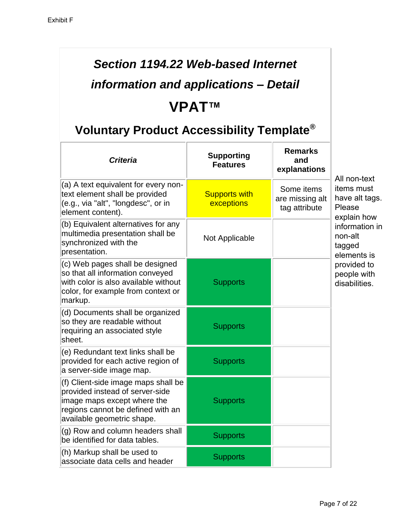# *Section 1194.22 Web-based Internet*

# *information and applications – Detail* **VPAT™**

| <b>Criteria</b>                                                                                                                                                          | <b>Supporting</b><br><b>Features</b> | <b>Remarks</b><br>and<br>explanations          | All non-text                                          |
|--------------------------------------------------------------------------------------------------------------------------------------------------------------------------|--------------------------------------|------------------------------------------------|-------------------------------------------------------|
| $(a)$ A text equivalent for every non-<br>text element shall be provided<br>(e.g., via "alt", "longdesc", or in<br>element content).                                     | <b>Supports with</b><br>exceptions   | Some items<br>are missing alt<br>tag attribute | items must<br>have alt tags.<br>Please<br>explain how |
| (b) Equivalent alternatives for any<br>multimedia presentation shall be<br>synchronized with the<br>presentation.                                                        | Not Applicable                       |                                                | information in<br>non-alt<br>tagged<br>elements is    |
| (c) Web pages shall be designed<br>so that all information conveyed<br>with color is also available without<br>color, for example from context or<br>markup.             | <b>Supports</b>                      |                                                | provided to<br>people with<br>disabilities.           |
| (d) Documents shall be organized<br>so they are readable without<br>requiring an associated style<br>sheet.                                                              | <b>Supports</b>                      |                                                |                                                       |
| (e) Redundant text links shall be<br>provided for each active region of<br>a server-side image map.                                                                      | <b>Supports</b>                      |                                                |                                                       |
| (f) Client-side image maps shall be<br>provided instead of server-side<br>image maps except where the<br>regions cannot be defined with an<br>available geometric shape. | <b>Supports</b>                      |                                                |                                                       |
| (g) Row and column headers shall<br>be identified for data tables.                                                                                                       | <b>Supports</b>                      |                                                |                                                       |
| (h) Markup shall be used to<br>associate data cells and header                                                                                                           | <b>Supports</b>                      |                                                |                                                       |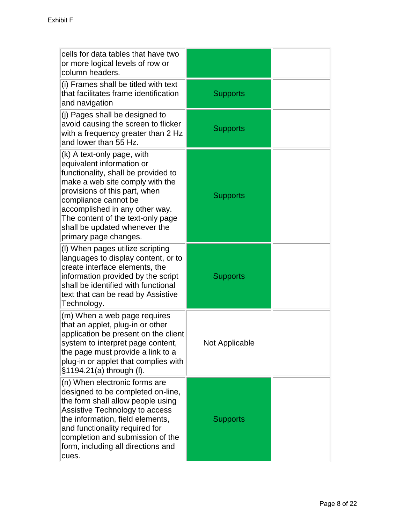| cells for data tables that have two<br>or more logical levels of row or<br>column headers.                                                                                                                                                                                                                                  |                       |  |
|-----------------------------------------------------------------------------------------------------------------------------------------------------------------------------------------------------------------------------------------------------------------------------------------------------------------------------|-----------------------|--|
| (i) Frames shall be titled with text<br>that facilitates frame identification<br>and navigation                                                                                                                                                                                                                             | <b>Supports</b>       |  |
| (j) Pages shall be designed to<br>avoid causing the screen to flicker<br>with a frequency greater than 2 Hz<br>and lower than 55 Hz.                                                                                                                                                                                        | <b>Supports</b>       |  |
| (k) A text-only page, with<br>equivalent information or<br>functionality, shall be provided to<br>make a web site comply with the<br>provisions of this part, when<br>compliance cannot be<br>accomplished in any other way.<br>The content of the text-only page<br>shall be updated whenever the<br>primary page changes. | <b>Supports</b>       |  |
| (I) When pages utilize scripting<br>languages to display content, or to<br>create interface elements, the<br>information provided by the script<br>shall be identified with functional<br>text that can be read by Assistive<br>Technology.                                                                                 | <b>Supports</b>       |  |
| (m) When a web page requires<br>that an applet, plug-in or other<br>application be present on the client<br>system to interpret page content,<br>the page must provide a link to a<br>plug-in or applet that complies with<br>§1194.21(a) through (I).                                                                      | <b>Not Applicable</b> |  |
| (n) When electronic forms are<br>designed to be completed on-line,<br>the form shall allow people using<br>Assistive Technology to access<br>the information, field elements,<br>and functionality required for<br>completion and submission of the<br>form, including all directions and<br>cues.                          | <b>Supports</b>       |  |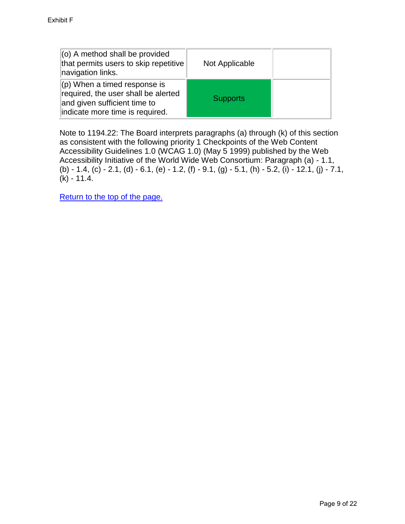| $(0)$ A method shall be provided<br>that permits users to skip repetitive<br>navigation links.                                             | Not Applicable  |  |
|--------------------------------------------------------------------------------------------------------------------------------------------|-----------------|--|
| $ $ (p) When a timed response is<br>required, the user shall be alerted<br>and given sufficient time to<br>indicate more time is required. | <b>Supports</b> |  |

<span id="page-9-0"></span>Note to 1194.22: The Board interprets paragraphs (a) through (k) of this section as consistent with the following priority 1 Checkpoints of the Web Content Accessibility Guidelines 1.0 (WCAG 1.0) (May 5 1999) published by the Web Accessibility Initiative of the World Wide Web Consortium: Paragraph (a) - 1.1, (b) - 1.4, (c) - 2.1, (d) - 6.1, (e) - 1.2, (f) - 9.1, (g) - 5.1, (h) - 5.2, (i) - 12.1, (j) - 7.1,  $(k) - 11.4.$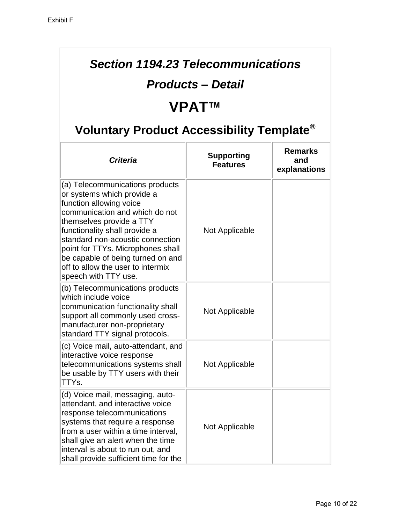#### *Section 1194.23 Telecommunications*

#### *Products – Detail*

# **VPAT™**

| <b>Criteria</b>                                                                                                                                                                                                                                                                                                                                                    | <b>Supporting</b><br><b>Features</b> | <b>Remarks</b><br>and<br>explanations |
|--------------------------------------------------------------------------------------------------------------------------------------------------------------------------------------------------------------------------------------------------------------------------------------------------------------------------------------------------------------------|--------------------------------------|---------------------------------------|
| (a) Telecommunications products<br>or systems which provide a<br>function allowing voice<br>communication and which do not<br>themselves provide a TTY<br>functionality shall provide a<br>standard non-acoustic connection<br>point for TTYs. Microphones shall<br>be capable of being turned on and<br>off to allow the user to intermix<br>speech with TTY use. | Not Applicable                       |                                       |
| (b) Telecommunications products<br>which include voice<br>communication functionality shall<br>support all commonly used cross-<br>manufacturer non-proprietary<br>standard TTY signal protocols.                                                                                                                                                                  | Not Applicable                       |                                       |
| (c) Voice mail, auto-attendant, and<br>interactive voice response<br>telecommunications systems shall<br>be usable by TTY users with their<br>TTYs.                                                                                                                                                                                                                | Not Applicable                       |                                       |
| (d) Voice mail, messaging, auto-<br>attendant, and interactive voice<br>response telecommunications<br>systems that require a response<br>from a user within a time interval,<br>shall give an alert when the time<br>interval is about to run out, and<br>shall provide sufficient time for the                                                                   | Not Applicable                       |                                       |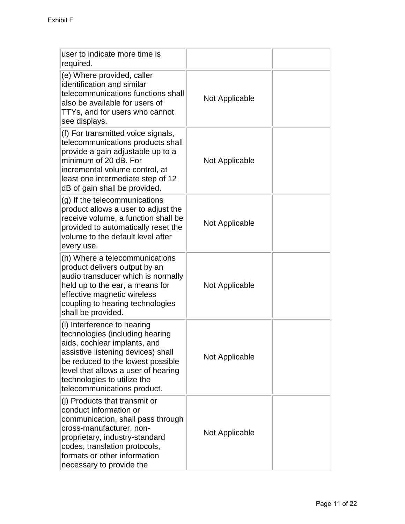| user to indicate more time is<br>required.                                                                                                                                                                                                                                     |                |  |
|--------------------------------------------------------------------------------------------------------------------------------------------------------------------------------------------------------------------------------------------------------------------------------|----------------|--|
| (e) Where provided, caller<br>identification and similar<br>telecommunications functions shall<br>also be available for users of<br>TTYs, and for users who cannot<br>see displays.                                                                                            | Not Applicable |  |
| (f) For transmitted voice signals,<br>telecommunications products shall<br>provide a gain adjustable up to a<br>minimum of 20 dB. For<br>incremental volume control, at<br>least one intermediate step of 12<br>dB of gain shall be provided.                                  | Not Applicable |  |
| (g) If the telecommunications<br>product allows a user to adjust the<br>receive volume, a function shall be<br>provided to automatically reset the<br>volume to the default level after<br>every use.                                                                          | Not Applicable |  |
| (h) Where a telecommunications<br>product delivers output by an<br>audio transducer which is normally<br>held up to the ear, a means for<br>effective magnetic wireless<br>coupling to hearing technologies<br>shall be provided.                                              | Not Applicable |  |
| (i) Interference to hearing<br>technologies (including hearing<br>aids, cochlear implants, and<br>assistive listening devices) shall<br>be reduced to the lowest possible<br>level that allows a user of hearing<br>technologies to utilize the<br>telecommunications product. | Not Applicable |  |
| (j) Products that transmit or<br>conduct information or<br>communication, shall pass through<br>cross-manufacturer, non-<br>proprietary, industry-standard<br>codes, translation protocols,<br>formats or other information<br>necessary to provide the                        | Not Applicable |  |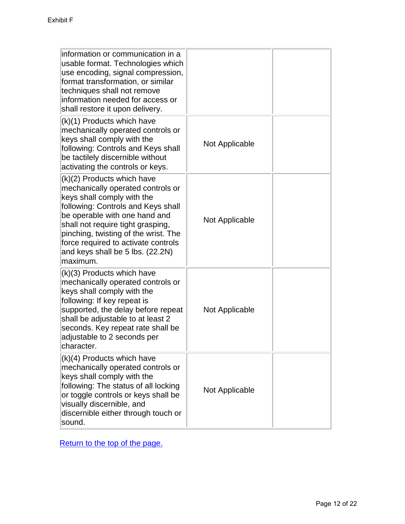<span id="page-12-0"></span>

| information or communication in a                                                                                                                                                                                                                                                                                                        |                |  |
|------------------------------------------------------------------------------------------------------------------------------------------------------------------------------------------------------------------------------------------------------------------------------------------------------------------------------------------|----------------|--|
| usable format. Technologies which<br>use encoding, signal compression,<br>format transformation, or similar<br>techniques shall not remove<br>information needed for access or<br>shall restore it upon delivery.                                                                                                                        |                |  |
| (k)(1) Products which have<br>mechanically operated controls or<br>keys shall comply with the<br>following: Controls and Keys shall<br>be tactilely discernible without<br>activating the controls or keys.                                                                                                                              | Not Applicable |  |
| (k)(2) Products which have<br>mechanically operated controls or<br>keys shall comply with the<br>following: Controls and Keys shall<br>be operable with one hand and<br>shall not require tight grasping,<br>pinching, twisting of the wrist. The<br>force required to activate controls<br>and keys shall be 5 lbs. (22.2N)<br>maximum. | Not Applicable |  |
| (k)(3) Products which have<br>mechanically operated controls or<br>keys shall comply with the<br>following: If key repeat is<br>supported, the delay before repeat<br>shall be adjustable to at least 2<br>seconds. Key repeat rate shall be<br>adjustable to 2 seconds per<br>character.                                                | Not Applicable |  |
| (k)(4) Products which have<br>mechanically operated controls or<br>keys shall comply with the<br>following: The status of all locking<br>or toggle controls or keys shall be<br>visually discernible, and<br>discernible either through touch or<br>sound.                                                                               | Not Applicable |  |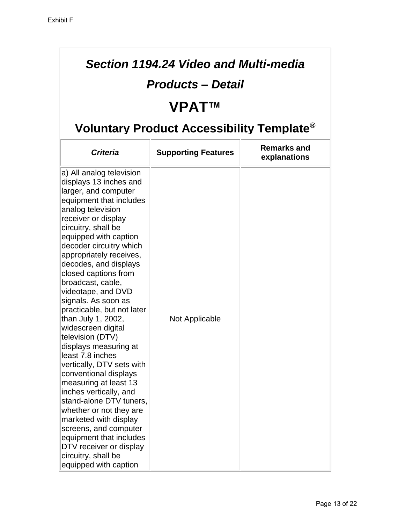### *Section 1194.24 Video and Multi-media*

#### *Products – Detail*

# **VPAT™**

| <b>Criteria</b>                                                                                                                                                                                                                                                                                                                                                                                                                                                                                                                                                                                                                                                                                                                                                                                                                              | <b>Supporting Features</b> | <b>Remarks and</b><br>explanations |
|----------------------------------------------------------------------------------------------------------------------------------------------------------------------------------------------------------------------------------------------------------------------------------------------------------------------------------------------------------------------------------------------------------------------------------------------------------------------------------------------------------------------------------------------------------------------------------------------------------------------------------------------------------------------------------------------------------------------------------------------------------------------------------------------------------------------------------------------|----------------------------|------------------------------------|
| a) All analog television<br>displays 13 inches and<br>larger, and computer<br>equipment that includes<br>analog television<br>receiver or display<br>circuitry, shall be<br>equipped with caption<br>decoder circuitry which<br>appropriately receives,<br>decodes, and displays<br>closed captions from<br>broadcast, cable,<br>videotape, and DVD<br>signals. As soon as<br>practicable, but not later<br>than July 1, 2002,<br>widescreen digital<br>television (DTV)<br>displays measuring at<br>least 7.8 inches<br>vertically, DTV sets with<br>conventional displays<br>measuring at least 13<br>inches vertically, and<br>stand-alone DTV tuners,<br>whether or not they are<br>marketed with display<br>screens, and computer<br>equipment that includes<br>DTV receiver or display<br>circuitry, shall be<br>equipped with caption | Not Applicable             |                                    |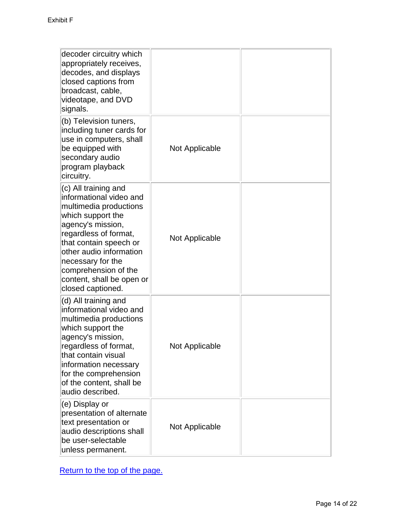<span id="page-14-0"></span>

| decoder circuitry which<br>appropriately receives,<br>decodes, and displays<br>closed captions from<br>broadcast, cable,<br>videotape, and DVD<br>signals.                                                                                                                                       |                |  |
|--------------------------------------------------------------------------------------------------------------------------------------------------------------------------------------------------------------------------------------------------------------------------------------------------|----------------|--|
| (b) Television tuners,<br>including tuner cards for<br>use in computers, shall<br>be equipped with<br>secondary audio<br>program playback<br>circuitry.                                                                                                                                          | Not Applicable |  |
| (c) All training and<br>informational video and<br>multimedia productions<br>which support the<br>agency's mission,<br>regardless of format,<br>that contain speech or<br>other audio information<br>necessary for the<br>comprehension of the<br>content, shall be open or<br>closed captioned. | Not Applicable |  |
| (d) All training and<br>informational video and<br>multimedia productions<br>which support the<br>agency's mission,<br>regardless of format,<br>that contain visual<br>information necessary<br>for the comprehension<br>of the content, shall be<br>audio described.                            | Not Applicable |  |
| (e) Display or<br>presentation of alternate<br>text presentation or<br>audio descriptions shall<br>be user-selectable<br>unless permanent.                                                                                                                                                       | Not Applicable |  |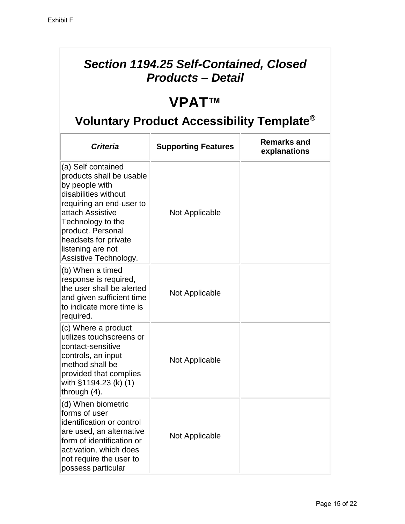#### *Section 1194.25 Self-Contained, Closed Products – Detail*

# **VPAT™**

| <b>Criteria</b>                                                                                                                                                                                                                                          | <b>Supporting Features</b> | <b>Remarks and</b><br>explanations |
|----------------------------------------------------------------------------------------------------------------------------------------------------------------------------------------------------------------------------------------------------------|----------------------------|------------------------------------|
| (a) Self contained<br>products shall be usable<br>by people with<br>disabilities without<br>requiring an end-user to<br>attach Assistive<br>Technology to the<br>product. Personal<br>headsets for private<br>listening are not<br>Assistive Technology. | Not Applicable             |                                    |
| (b) When a timed<br>response is required,<br>the user shall be alerted<br>and given sufficient time<br>to indicate more time is<br>required.                                                                                                             | Not Applicable             |                                    |
| (c) Where a product<br>utilizes touchscreens or<br>contact-sensitive<br>controls, an input<br>method shall be<br>provided that complies<br>with §1194.23 (k) (1)<br>through (4).                                                                         | Not Applicable             |                                    |
| (d) When biometric<br>forms of user<br>identification or control<br>are used, an alternative<br>form of identification or<br>activation, which does<br>not require the user to<br>possess particular                                                     | Not Applicable             |                                    |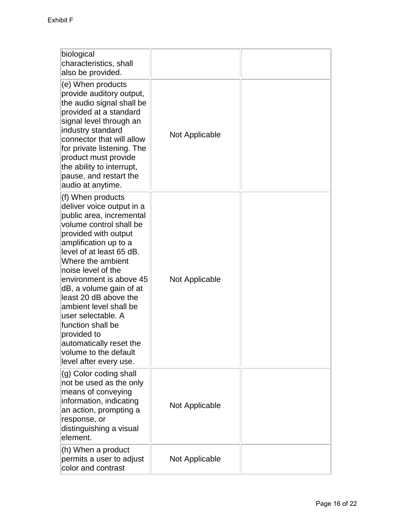| biological<br>characteristics, shall<br>also be provided.                                                                                                                                                                                                                                                                                                                                                                                                                      |                |  |
|--------------------------------------------------------------------------------------------------------------------------------------------------------------------------------------------------------------------------------------------------------------------------------------------------------------------------------------------------------------------------------------------------------------------------------------------------------------------------------|----------------|--|
| (e) When products<br>provide auditory output,<br>the audio signal shall be<br>provided at a standard<br>signal level through an<br>industry standard<br>connector that will allow<br>for private listening. The<br>product must provide<br>the ability to interrupt,<br>pause, and restart the<br>audio at anytime.                                                                                                                                                            | Not Applicable |  |
| (f) When products<br>deliver voice output in a<br>public area, incremental<br>volume control shall be<br>provided with output<br>amplification up to a<br>level of at least 65 dB.<br>Where the ambient<br>noise level of the<br>environment is above 45<br>dB, a volume gain of at<br>least 20 dB above the<br>ambient level shall be<br>user selectable. A<br>function shall be<br>provided to<br>automatically reset the<br>volume to the default<br>level after every use. | Not Applicable |  |
| (g) Color coding shall<br>not be used as the only<br>means of conveying<br>information, indicating<br>an action, prompting a<br>response, or<br>distinguishing a visual<br>element.                                                                                                                                                                                                                                                                                            | Not Applicable |  |
| (h) When a product<br>permits a user to adjust<br>color and contrast                                                                                                                                                                                                                                                                                                                                                                                                           | Not Applicable |  |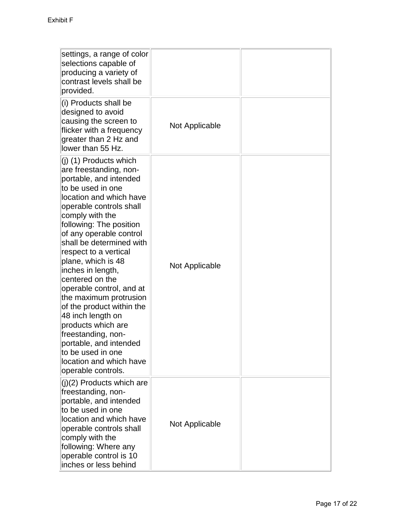| settings, a range of color<br>selections capable of<br>producing a variety of<br>contrast levels shall be<br>provided.                                                                                                                                                                                                                                                                                                                                                                                                                                                                                  |                |  |
|---------------------------------------------------------------------------------------------------------------------------------------------------------------------------------------------------------------------------------------------------------------------------------------------------------------------------------------------------------------------------------------------------------------------------------------------------------------------------------------------------------------------------------------------------------------------------------------------------------|----------------|--|
| (i) Products shall be<br>designed to avoid<br>causing the screen to<br>flicker with a frequency<br>greater than 2 Hz and<br>lower than 55 Hz.                                                                                                                                                                                                                                                                                                                                                                                                                                                           | Not Applicable |  |
| $(i)$ (1) Products which<br>are freestanding, non-<br>portable, and intended<br>to be used in one<br>location and which have<br>operable controls shall<br>comply with the<br>following: The position<br>of any operable control<br>shall be determined with<br>respect to a vertical<br>plane, which is 48<br>inches in length,<br>centered on the<br>operable control, and at<br>the maximum protrusion<br>of the product within the<br>48 inch length on<br>products which are<br>freestanding, non-<br>portable, and intended<br>to be used in one<br>location and which have<br>operable controls. | Not Applicable |  |
| $(j)(2)$ Products which are<br>freestanding, non-<br>portable, and intended<br>to be used in one<br>location and which have<br>operable controls shall<br>comply with the<br>following: Where any<br>operable control is 10<br>inches or less behind                                                                                                                                                                                                                                                                                                                                                    | Not Applicable |  |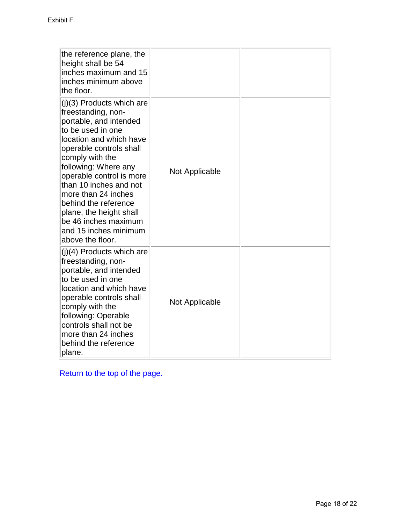<span id="page-18-0"></span>

| the reference plane, the<br>height shall be 54<br>inches maximum and 15<br>inches minimum above<br>the floor.                                                                                                                                                                                                                                                                                        |                |  |
|------------------------------------------------------------------------------------------------------------------------------------------------------------------------------------------------------------------------------------------------------------------------------------------------------------------------------------------------------------------------------------------------------|----------------|--|
| (j)(3) Products which are<br>freestanding, non-<br>portable, and intended<br>to be used in one<br>location and which have<br>operable controls shall<br>comply with the<br>following: Where any<br>operable control is more<br>than 10 inches and not<br>more than 24 inches<br>behind the reference<br>plane, the height shall<br>be 46 inches maximum<br>and 15 inches minimum<br>above the floor. | Not Applicable |  |
| (j)(4) Products which are<br>freestanding, non-<br>portable, and intended<br>to be used in one<br>location and which have<br>operable controls shall<br>comply with the<br>following: Operable<br>controls shall not be<br>more than 24 inches<br>behind the reference<br>plane.                                                                                                                     | Not Applicable |  |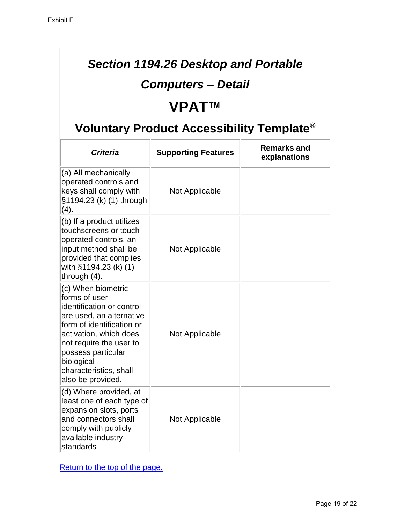#### *Section 1194.26 Desktop and Portable*

#### *Computers – Detail*

# **VPAT™**

# **Voluntary Product Accessibility Template®**

<span id="page-19-0"></span>

| <b>Criteria</b>                                                                                                                                                                                                                                                   | <b>Supporting Features</b> | <b>Remarks and</b><br>explanations |
|-------------------------------------------------------------------------------------------------------------------------------------------------------------------------------------------------------------------------------------------------------------------|----------------------------|------------------------------------|
| (a) All mechanically<br>operated controls and<br>keys shall comply with<br>§1194.23 (k) (1) through<br>(4).                                                                                                                                                       | Not Applicable             |                                    |
| (b) If a product utilizes<br>touchscreens or touch-<br>operated controls, an<br>input method shall be<br>provided that complies<br>with §1194.23 (k) (1)<br>through $(4)$ .                                                                                       | Not Applicable             |                                    |
| (c) When biometric<br>forms of user<br>identification or control<br>are used, an alternative<br>form of identification or<br>activation, which does<br>not require the user to<br>possess particular<br>biological<br>characteristics, shall<br>also be provided. | Not Applicable             |                                    |
| (d) Where provided, at<br>least one of each type of<br>expansion slots, ports<br>and connectors shall<br>comply with publicly<br>available industry<br>standards                                                                                                  | Not Applicable             |                                    |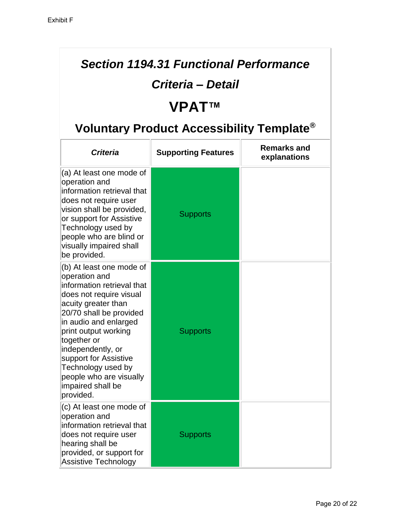#### *Section 1194.31 Functional Performance*

#### *Criteria – Detail*

# **VPAT™**

| <b>Criteria</b>                                                                                                                                                                                                                                                                                                                                       | <b>Supporting Features</b> | <b>Remarks and</b><br>explanations |
|-------------------------------------------------------------------------------------------------------------------------------------------------------------------------------------------------------------------------------------------------------------------------------------------------------------------------------------------------------|----------------------------|------------------------------------|
| (a) At least one mode of<br>operation and<br>information retrieval that<br>does not require user<br>vision shall be provided,<br>or support for Assistive<br>Technology used by<br>people who are blind or<br>visually impaired shall<br>be provided.                                                                                                 | <b>Supports</b>            |                                    |
| (b) At least one mode of<br>operation and<br>information retrieval that<br>does not require visual<br>acuity greater than<br>20/70 shall be provided<br>in audio and enlarged<br>print output working<br>together or<br>independently, or<br>support for Assistive<br>Technology used by<br>people who are visually<br>impaired shall be<br>provided. | <b>Supports</b>            |                                    |
| (c) At least one mode of<br>operation and<br>information retrieval that<br>does not require user<br>hearing shall be<br>provided, or support for<br><b>Assistive Technology</b>                                                                                                                                                                       | <b>Supports</b>            |                                    |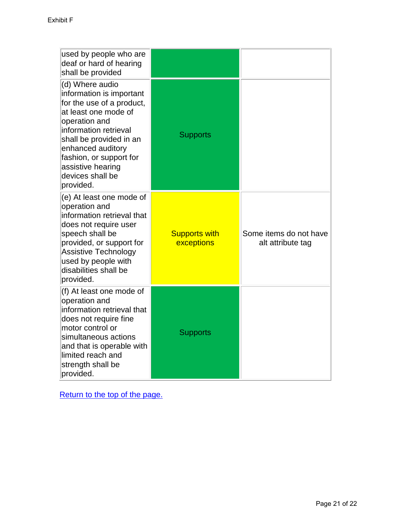<span id="page-21-0"></span>

| used by people who are<br>deaf or hard of hearing<br>shall be provided                                                                                                                                                                                                      |                                    |                                             |
|-----------------------------------------------------------------------------------------------------------------------------------------------------------------------------------------------------------------------------------------------------------------------------|------------------------------------|---------------------------------------------|
| (d) Where audio<br>information is important<br>for the use of a product,<br>at least one mode of<br>operation and<br>information retrieval<br>shall be provided in an<br>enhanced auditory<br>fashion, or support for<br>assistive hearing<br>devices shall be<br>provided. | <b>Supports</b>                    |                                             |
| (e) At least one mode of<br>operation and<br>information retrieval that<br>does not require user<br>speech shall be<br>provided, or support for<br><b>Assistive Technology</b><br>used by people with<br>disabilities shall be<br>provided.                                 | <b>Supports with</b><br>exceptions | Some items do not have<br>alt attribute tag |
| (f) At least one mode of<br>operation and<br>information retrieval that<br>does not require fine<br>motor control or<br>simultaneous actions<br>and that is operable with<br>limited reach and<br>strength shall be<br>provided.                                            | <b>Supports</b>                    |                                             |